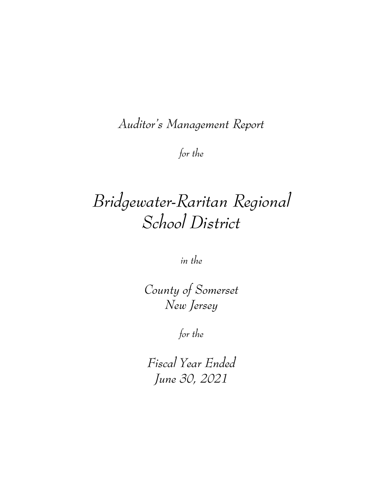# *Auditor's Management Report*

*for the*

# *Bridgewater-Raritan Regional School District*

*in the*

*County of Somerset New Jersey*

*for the*

*Fiscal Year Ended June 30, 2021*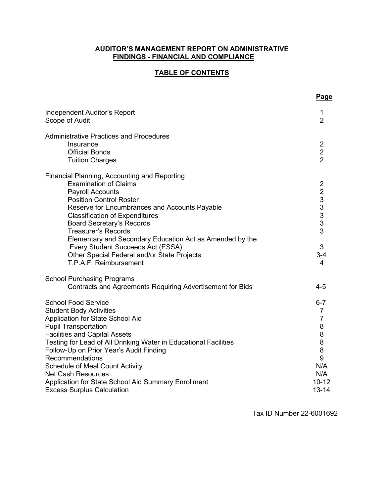# **TABLE OF CONTENTS**

| Independent Auditor's Report<br>Scope of Audit                                                                                                                                                                                                                                                                                                                                                                                                                                  | 1<br>$\overline{2}$                                                                                          |
|---------------------------------------------------------------------------------------------------------------------------------------------------------------------------------------------------------------------------------------------------------------------------------------------------------------------------------------------------------------------------------------------------------------------------------------------------------------------------------|--------------------------------------------------------------------------------------------------------------|
| <b>Administrative Practices and Procedures</b><br>Insurance<br><b>Official Bonds</b><br><b>Tuition Charges</b>                                                                                                                                                                                                                                                                                                                                                                  | $\overline{2}$<br>$\overline{\mathbf{c}}$<br>$\overline{2}$                                                  |
| Financial Planning, Accounting and Reporting<br><b>Examination of Claims</b><br><b>Payroll Accounts</b><br><b>Position Control Roster</b><br>Reserve for Encumbrances and Accounts Payable<br><b>Classification of Expenditures</b><br><b>Board Secretary's Records</b><br><b>Treasurer's Records</b><br>Elementary and Secondary Education Act as Amended by the<br>Every Student Succeeds Act (ESSA)<br>Other Special Federal and/or State Projects<br>T.P.A.F. Reimbursement | $\overline{2}$<br>$\overline{2}$<br>3<br>3<br>3<br>3<br>3<br>3<br>$3 - 4$<br>4                               |
| <b>School Purchasing Programs</b><br>Contracts and Agreements Requiring Advertisement for Bids                                                                                                                                                                                                                                                                                                                                                                                  | 4-5                                                                                                          |
| <b>School Food Service</b><br><b>Student Body Activities</b><br>Application for State School Aid<br><b>Pupil Transportation</b><br><b>Facilities and Capital Assets</b><br>Testing for Lead of All Drinking Water in Educational Facilities<br>Follow-Up on Prior Year's Audit Finding<br>Recommendations<br><b>Schedule of Meal Count Activity</b><br><b>Net Cash Resources</b><br>Application for State School Aid Summary Enrollment<br><b>Excess Surplus Calculation</b>    | $6 - 7$<br>$\overline{7}$<br>$\overline{7}$<br>8<br>8<br>8<br>8<br>9<br>N/A<br>N/A<br>$10 - 12$<br>$13 - 14$ |

Tax ID Number 22-6001692

**Page**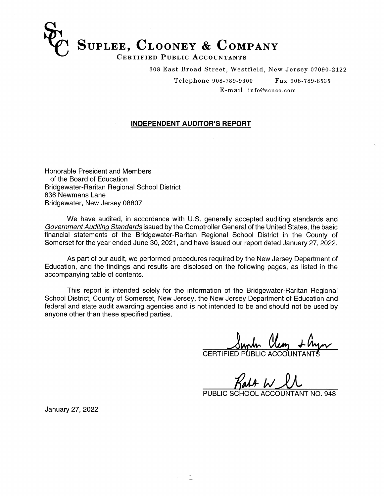

**308 East Broad Street, Westfield, New Jersey 07090-2122**

**Telephone 908- 789-9300 Fax 908- 789-8535**

**E-mail info@scnco.com**

#### **INDEPENDENT AUDITOR'S REPORT**

Honorable President and Members of the Board of Education Bridgewater-Raritan Regional School District 836 Newmans Lane Bridgewater, New Jersey 08807

We have audited, in accordance with U.S. generally accepted auditing standards and **Government Auditing Standards** issued by the Comptroller General of the United States, the basic financial statements of the Bridgewater-Raritan Regional School District in the County of Somerset for the year ended June 30, 2021, and have issued our report dated January 27, 2022.

As part of our audit, we performed procedures required by the New Jersey Department of Education, and the findings and results are disclosed on the following pages, as listed in the accompanying table of contents.

This report is intended solely for the information of the Bridgewater-Raritan Regional School District, County of Somerset, New Jersey, the New Jersey Department of Education and federal and state audit awarding agencies and is not intended to be and should not be used by anyone other than these specified parties.

**∕**<br>FIEI <u>Jumb Clem</u><br>D PUBLIC ACCO *\*

CERTIFIED PUBLIC ACCOUNTANTS

 $\overline{\mathcal{W}}$ 

PUBLIC SCHOOL ACCOUNTANT NO. 948

January 27, 2022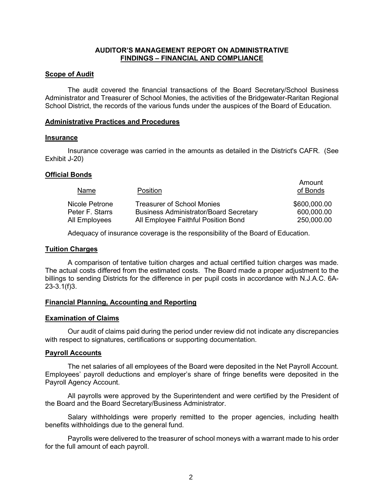#### **Scope of Audit**

The audit covered the financial transactions of the Board Secretary/School Business Administrator and Treasurer of School Monies, the activities of the Bridgewater-Raritan Regional School District, the records of the various funds under the auspices of the Board of Education.

#### **Administrative Practices and Procedures**

#### **Insurance**

Insurance coverage was carried in the amounts as detailed in the District's CAFR. (See Exhibit J-20)

#### **Official Bonds**

| Name            | Position                                      | Amount<br>of Bonds |
|-----------------|-----------------------------------------------|--------------------|
| Nicole Petrone  | <b>Treasurer of School Monies</b>             | \$600,000.00       |
| Peter F. Starrs | <b>Business Administrator/Board Secretary</b> | 600,000.00         |
| All Employees   | All Employee Faithful Position Bond           | 250,000.00         |

Adequacy of insurance coverage is the responsibility of the Board of Education.

#### **Tuition Charges**

A comparison of tentative tuition charges and actual certified tuition charges was made. The actual costs differed from the estimated costs. The Board made a proper adjustment to the billings to sending Districts for the difference in per pupil costs in accordance with N.J.A.C. 6A-23-3.1(f)3.

#### **Financial Planning, Accounting and Reporting**

#### **Examination of Claims**

Our audit of claims paid during the period under review did not indicate any discrepancies with respect to signatures, certifications or supporting documentation.

#### **Payroll Accounts**

The net salaries of all employees of the Board were deposited in the Net Payroll Account. Employees' payroll deductions and employer's share of fringe benefits were deposited in the Payroll Agency Account.

All payrolls were approved by the Superintendent and were certified by the President of the Board and the Board Secretary/Business Administrator.

Salary withholdings were properly remitted to the proper agencies, including health benefits withholdings due to the general fund.

Payrolls were delivered to the treasurer of school moneys with a warrant made to his order for the full amount of each payroll.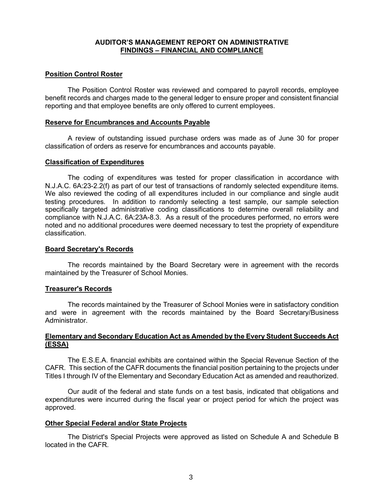#### **Position Control Roster**

The Position Control Roster was reviewed and compared to payroll records, employee benefit records and charges made to the general ledger to ensure proper and consistent financial reporting and that employee benefits are only offered to current employees.

#### **Reserve for Encumbrances and Accounts Payable**

A review of outstanding issued purchase orders was made as of June 30 for proper classification of orders as reserve for encumbrances and accounts payable.

#### **Classification of Expenditures**

The coding of expenditures was tested for proper classification in accordance with N.J.A.C. 6A:23-2.2(f) as part of our test of transactions of randomly selected expenditure items. We also reviewed the coding of all expenditures included in our compliance and single audit testing procedures. In addition to randomly selecting a test sample, our sample selection specifically targeted administrative coding classifications to determine overall reliability and compliance with N.J.A.C. 6A:23A-8.3. As a result of the procedures performed, no errors were noted and no additional procedures were deemed necessary to test the propriety of expenditure classification.

#### **Board Secretary's Records**

The records maintained by the Board Secretary were in agreement with the records maintained by the Treasurer of School Monies.

#### **Treasurer's Records**

The records maintained by the Treasurer of School Monies were in satisfactory condition and were in agreement with the records maintained by the Board Secretary/Business Administrator.

#### **Elementary and Secondary Education Act as Amended by the Every Student Succeeds Act (ESSA)**

The E.S.E.A. financial exhibits are contained within the Special Revenue Section of the CAFR. This section of the CAFR documents the financial position pertaining to the projects under Titles I through IV of the Elementary and Secondary Education Act as amended and reauthorized.

Our audit of the federal and state funds on a test basis, indicated that obligations and expenditures were incurred during the fiscal year or project period for which the project was approved.

#### **Other Special Federal and/or State Projects**

The District's Special Projects were approved as listed on Schedule A and Schedule B located in the CAFR.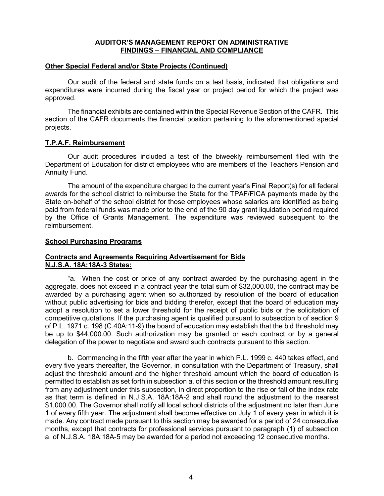#### **Other Special Federal and/or State Projects (Continued)**

Our audit of the federal and state funds on a test basis, indicated that obligations and expenditures were incurred during the fiscal year or project period for which the project was approved.

The financial exhibits are contained within the Special Revenue Section of the CAFR. This section of the CAFR documents the financial position pertaining to the aforementioned special projects.

#### **T.P.A.F. Reimbursement**

Our audit procedures included a test of the biweekly reimbursement filed with the Department of Education for district employees who are members of the Teachers Pension and Annuity Fund.

The amount of the expenditure charged to the current year's Final Report(s) for all federal awards for the school district to reimburse the State for the TPAF/FICA payments made by the State on-behalf of the school district for those employees whose salaries are identified as being paid from federal funds was made prior to the end of the 90 day grant liquidation period required by the Office of Grants Management. The expenditure was reviewed subsequent to the reimbursement.

#### **School Purchasing Programs**

#### **Contracts and Agreements Requiring Advertisement for Bids N.J.S.A. 18A:18A-3 States:**

"a. When the cost or price of any contract awarded by the purchasing agent in the aggregate, does not exceed in a contract year the total sum of \$32,000.00, the contract may be awarded by a purchasing agent when so authorized by resolution of the board of education without public advertising for bids and bidding therefor, except that the board of education may adopt a resolution to set a lower threshold for the receipt of public bids or the solicitation of competitive quotations. If the purchasing agent is qualified pursuant to subsection b of section 9 of P.L. 1971 c. 198 (C.40A:11-9) the board of education may establish that the bid threshold may be up to \$44,000.00. Such authorization may be granted or each contract or by a general delegation of the power to negotiate and award such contracts pursuant to this section.

b. Commencing in the fifth year after the year in which P.L. 1999 c. 440 takes effect, and every five years thereafter, the Governor, in consultation with the Department of Treasury, shall adjust the threshold amount and the higher threshold amount which the board of education is permitted to establish as set forth in subsection a. of this section or the threshold amount resulting from any adjustment under this subsection, in direct proportion to the rise or fall of the index rate as that term is defined in N.J.S.A. 18A:18A-2 and shall round the adjustment to the nearest \$1,000.00. The Governor shall notify all local school districts of the adjustment no later than June 1 of every fifth year. The adjustment shall become effective on July 1 of every year in which it is made. Any contract made pursuant to this section may be awarded for a period of 24 consecutive months, except that contracts for professional services pursuant to paragraph (1) of subsection a. of N.J.S.A. 18A:18A-5 may be awarded for a period not exceeding 12 consecutive months.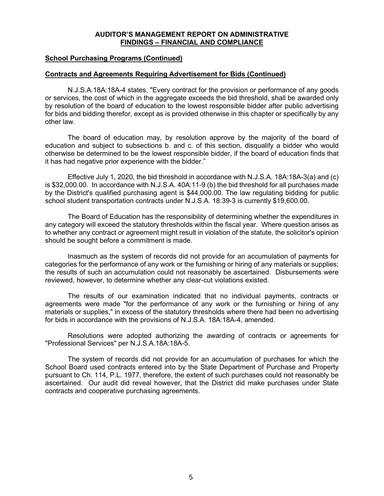#### **School Purchasing Programs (Continued)**

#### **Contracts and Agreements Requiring Advertisement for Bids (Continued)**

N.J.S.A.18A:18A-4 states, "Every contract for the provision or performance of any goods or services, the cost of which in the aggregate exceeds the bid threshold, shall be awarded only by resolution of the board of education to the lowest responsible bidder after public advertising for bids and bidding therefor, except as is provided otherwise in this chapter or specifically by any other law.

The board of education may, by resolution approve by the majority of the board of education and subject to subsections b. and c. of this section, disqualify a bidder who would otherwise be determined to be the lowest responsible bidder, if the board of education finds that it has had negative prior experience with the bidder."

Effective July 1, 2020, the bid threshold in accordance with N.J.S.A. 18A:18A-3(a) and (c) is \$32,000.00. In accordance with N.J.S.A. 40A:11-9 (b) the bid threshold for all purchases made by the District's qualified purchasing agent is \$44,000.00. The law regulating bidding for public school student transportation contracts under N.J.S.A. 18:39-3 is currently \$19,600.00.

The Board of Education has the responsibility of determining whether the expenditures in any category will exceed the statutory thresholds within the fiscal year. Where question arises as to whether any contract or agreement might result in violation of the statute, the solicitor's opinion should be sought before a commitment is made.

Inasmuch as the system of records did not provide for an accumulation of payments for categories for the performance of any work or the furnishing or hiring of any materials or supplies; the results of such an accumulation could not reasonably be ascertained. Disbursements were reviewed, however, to determine whether any clear-cut violations existed.

The results of our examination indicated that no individual payments, contracts or agreements were made "for the performance of any work or the furnishing or hiring of any materials or supplies," in excess of the statutory thresholds where there had been no advertising for bids in accordance with the provisions of N.J.S.A. 18A:18A-4, amended.

Resolutions were adopted authorizing the awarding of contracts or agreements for "Professional Services" per N.J.S.A.18A:18A-5.

The system of records did not provide for an accumulation of purchases for which the School Board used contracts entered into by the State Department of Purchase and Property pursuant to Ch. 114, P.L. 1977, therefore, the extent of such purchases could not reasonably be ascertained. Our audit did reveal however, that the District did make purchases under State contracts and cooperative purchasing agreements.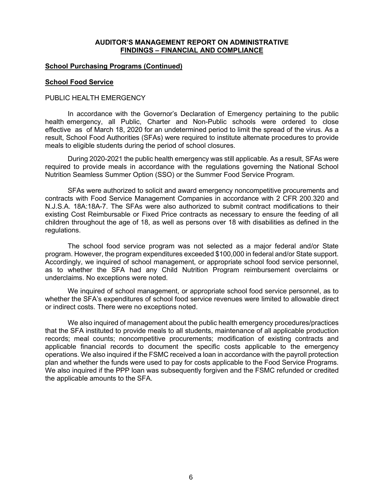#### **School Purchasing Programs (Continued)**

#### **School Food Service**

#### PUBLIC HEALTH EMERGENCY

In accordance with the Governor's Declaration of Emergency pertaining to the public health emergency, all Public, Charter and Non-Public schools were ordered to close effective as of March 18, 2020 for an undetermined period to limit the spread of the virus. As a result, School Food Authorities (SFAs) were required to institute alternate procedures to provide meals to eligible students during the period of school closures.

During 2020-2021 the public health emergency was still applicable. As a result, SFAs were required to provide meals in accordance with the regulations governing the National School Nutrition Seamless Summer Option (SSO) or the Summer Food Service Program.

SFAs were authorized to solicit and award emergency noncompetitive procurements and contracts with Food Service Management Companies in accordance with 2 CFR 200.320 and N.J.S.A. 18A:18A-7. The SFAs were also authorized to submit contract modifications to their existing Cost Reimbursable or Fixed Price contracts as necessary to ensure the feeding of all children throughout the age of 18, as well as persons over 18 with disabilities as defined in the regulations.

The school food service program was not selected as a major federal and/or State program. However, the program expenditures exceeded \$100,000 in federal and/or State support. Accordingly, we inquired of school management, or appropriate school food service personnel, as to whether the SFA had any Child Nutrition Program reimbursement overclaims or underclaims. No exceptions were noted.

We inquired of school management, or appropriate school food service personnel, as to whether the SFA's expenditures of school food service revenues were limited to allowable direct or indirect costs. There were no exceptions noted.

We also inquired of management about the public health emergency procedures/practices that the SFA instituted to provide meals to all students, maintenance of all applicable production records; meal counts; noncompetitive procurements; modification of existing contracts and applicable financial records to document the specific costs applicable to the emergency operations. We also inquired if the FSMC received a loan in accordance with the payroll protection plan and whether the funds were used to pay for costs applicable to the Food Service Programs. We also inquired if the PPP loan was subsequently forgiven and the FSMC refunded or credited the applicable amounts to the SFA.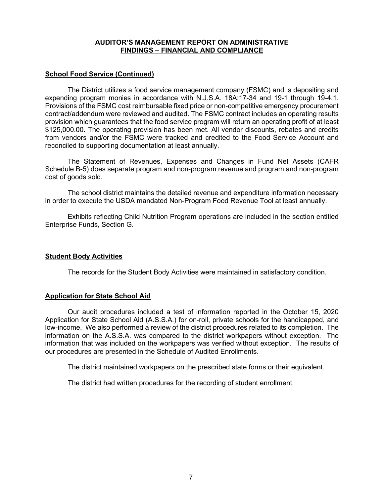#### **School Food Service (Continued)**

The District utilizes a food service management company (FSMC) and is depositing and expending program monies in accordance with N.J.S.A. 18A:17-34 and 19-1 through 19-4.1. Provisions of the FSMC cost reimbursable fixed price or non-competitive emergency procurement contract/addendum were reviewed and audited. The FSMC contract includes an operating results provision which guarantees that the food service program will return an operating profit of at least \$125,000.00. The operating provision has been met. All vendor discounts, rebates and credits from vendors and/or the FSMC were tracked and credited to the Food Service Account and reconciled to supporting documentation at least annually.

The Statement of Revenues, Expenses and Changes in Fund Net Assets (CAFR Schedule B-5) does separate program and non-program revenue and program and non-program cost of goods sold.

The school district maintains the detailed revenue and expenditure information necessary in order to execute the USDA mandated Non-Program Food Revenue Tool at least annually.

Exhibits reflecting Child Nutrition Program operations are included in the section entitled Enterprise Funds, Section G.

#### **Student Body Activities**

The records for the Student Body Activities were maintained in satisfactory condition.

#### **Application for State School Aid**

Our audit procedures included a test of information reported in the October 15, 2020 Application for State School Aid (A.S.S.A.) for on-roll, private schools for the handicapped, and low-income. We also performed a review of the district procedures related to its completion. The information on the A.S.S.A. was compared to the district workpapers without exception. The information that was included on the workpapers was verified without exception. The results of our procedures are presented in the Schedule of Audited Enrollments.

The district maintained workpapers on the prescribed state forms or their equivalent.

The district had written procedures for the recording of student enrollment.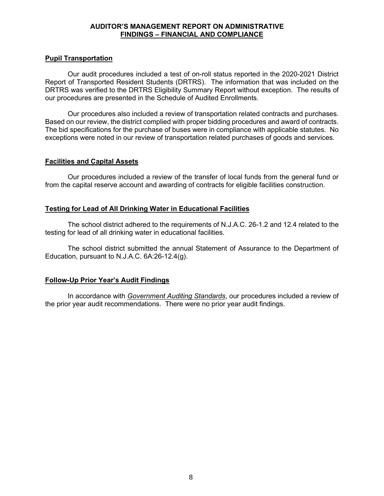#### **Pupil Transportation**

Our audit procedures included a test of on-roll status reported in the 2020-2021 District Report of Transported Resident Students (DRTRS). The information that was included on the DRTRS was verified to the DRTRS Eligibility Summary Report without exception. The results of our procedures are presented in the Schedule of Audited Enrollments.

Our procedures also included a review of transportation related contracts and purchases. Based on our review, the district complied with proper bidding procedures and award of contracts. The bid specifications for the purchase of buses were in compliance with applicable statutes. No exceptions were noted in our review of transportation related purchases of goods and services.

#### **Facilities and Capital Assets**

Our procedures included a review of the transfer of local funds from the general fund or from the capital reserve account and awarding of contracts for eligible facilities construction.

#### **Testing for Lead of All Drinking Water in Educational Facilities**

The school district adhered to the requirements of N.J.A.C. 26-1.2 and 12.4 related to the testing for lead of all drinking water in educational facilities.

The school district submitted the annual Statement of Assurance to the Department of Education, pursuant to N.J.A.C. 6A:26-12.4(g).

#### **Follow-Up Prior Year's Audit Findings**

In accordance with *Government Auditing Standards*, our procedures included a review of the prior year audit recommendations. There were no prior year audit findings.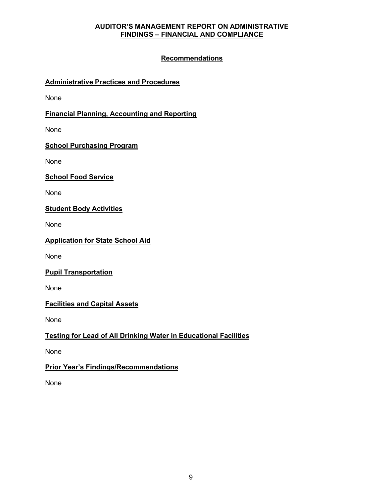# **Recommendations**

### **Administrative Practices and Procedures**

None

**Financial Planning, Accounting and Reporting**

None

#### **School Purchasing Program**

None

**School Food Service**

None

### **Student Body Activities**

None

#### **Application for State School Aid**

None

#### **Pupil Transportation**

None

#### **Facilities and Capital Assets**

None

## **Testing for Lead of All Drinking Water in Educational Facilities**

None

#### **Prior Year's Findings/Recommendations**

None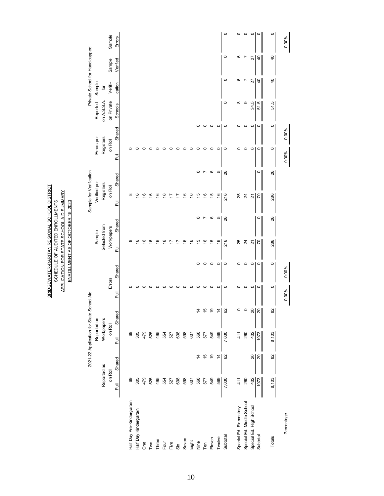|                           |             |                 | 2021-22 Application for State |                 | School Aid |         |                    |                | Sample for Verification |                |            |         |             |                         | Private School for Handicapped |          |
|---------------------------|-------------|-----------------|-------------------------------|-----------------|------------|---------|--------------------|----------------|-------------------------|----------------|------------|---------|-------------|-------------------------|--------------------------------|----------|
|                           |             |                 | Reported on                   |                 |            |         | Sample             |                | Verified per            |                | Errors per |         | Reported    | Sample                  |                                |          |
|                           | Reported as |                 | Workpapers                    |                 |            |         | Selected from      |                | Registers               |                | Registers  |         | on A.S.S.A. | $\overline{\mathsf{p}}$ |                                |          |
|                           | on Roll     |                 | on Roll                       |                 |            | Errors  | Workpapers         |                | on Roll                 |                | on Roll    |         | on Private  | <b>Verifi-</b>          | Sample                         | Sample   |
|                           | Ē           | Shared          | Ē                             | Shared          | 司<br>上     | Shared  | Ē                  | Shared         | Ē                       | Shared         | Ē          | Shared  | Schools     | cation                  | Verified                       | Errors   |
| Half Day Pre-Kindergarten | 69          |                 | 69                            |                 |            |         |                    |                | ∞                       |                |            |         |             |                         |                                |          |
| Half Day Kindergarten     | 305         |                 | 305                           |                 | 0          |         | $\overline{\circ}$ |                | 6                       |                |            |         |             |                         |                                |          |
| ðe                        | 479         |                 | 479                           |                 | $\circ$    |         | $\overline{6}$     |                | ≌                       |                | c          |         |             |                         |                                |          |
| Two                       | 525         |                 | 525                           |                 | $\circ$    |         | ٥                  |                | ڡ                       |                |            |         |             |                         |                                |          |
| Three                     | 495         |                 | 495                           |                 | c          |         | $\tilde{=}$        |                | $\overline{\mathsf{e}}$ |                |            |         |             |                         |                                |          |
| Four                      | 554         |                 | 554                           |                 |            |         | $\tilde{e}$        |                | $\overline{6}$          |                |            |         |             |                         |                                |          |
| Five                      | 527         |                 | 527                           |                 | ⊂          |         | Ե                  |                | ⊵                       |                | o          |         |             |                         |                                |          |
| Six                       | 608         |                 | 608                           |                 | ○          |         | ⊵                  |                | ⊵                       |                | $\circ$    |         |             |                         |                                |          |
| Seven                     | 598         |                 | 598                           |                 | C          |         | $\frac{6}{5}$      |                | $\frac{6}{5}$           |                | 0          |         |             |                         |                                |          |
| Eight                     | 607         |                 | 607                           |                 | $\circ$    |         | $\frac{6}{5}$      |                | $\frac{6}{5}$           |                | $\circ$    |         |             |                         |                                |          |
| Nine                      | 568         | $\overline{4}$  | 568                           | $\frac{4}{3}$   | 0          | $\circ$ | 45                 | $\infty$       | 15                      | $\infty$       | 0          | $\circ$ |             |                         |                                |          |
| Ten                       | 577         | 15              | 577                           | 15              | $\circ$    | $\circ$ | $\frac{6}{5}$      | $\overline{ }$ | $\frac{6}{5}$           | $\overline{ }$ | $\circ$    | $\circ$ |             |                         |                                |          |
| Eleven                    | 549         | $\overline{9}$  | 549                           | $\frac{1}{2}$   | $\circ$    | $\circ$ | 15                 | $\circ$        | $\frac{5}{2}$           | $\circ$        | 0          | $\circ$ |             |                         |                                |          |
| Twelve                    | 569         | $\overline{4}$  | 569                           | $\frac{4}{1}$   | $\circ$    | $\circ$ | $\frac{6}{2}$      | 5              | $\frac{6}{5}$           | 5              | $\circ$    | $\circ$ |             |                         |                                |          |
| Subtotal                  | 7,030       | 62              | 7,030                         | 62              | $\circ$    | $\circ$ | 216                | 26             | 216                     | 26             | $\circ$    | $\circ$ | $\circ$     | $\circ$                 | $\circ$                        | $\circ$  |
| Special Ed. Elementary    | 411         |                 | 411                           | $\circ$         | $\circ$    | $\circ$ | 25                 |                | 25                      |                | 0          | 0       | $\infty$    | ဖ                       | ဖ                              | $\circ$  |
| Special Ed. Middle School | 260         |                 | 260                           | $\circ$         | $\circ$    | $\circ$ | $\overline{2}$     |                | $\overline{24}$         |                | $\circ$    | $\circ$ | တ           | Ľ                       | L                              | $\circ$  |
| Special Ed. High School   | 402         | $\overline{c}$  | 402                           | $\overline{20}$ | $\circ$    | $\circ$ | $\overline{21}$    |                | $\overline{2}$          |                | $\circ$    | $\circ$ | 34.5        | 27                      | 27                             | $\circ$  |
| Subtotal                  | 1073        | $\overline{20}$ | 1073                          | $\frac{1}{2}$   | $\circ$    | $\circ$ | $\frac{1}{2}$      | 0              | 20                      | 0              | $\circ$    | $\circ$ | 51.5        | $\overline{40}$         | $\overline{40}$                | $\circ$  |
| Totals                    | 8,103       | $\approx$       | 8,103                         | $\frac{8}{2}$   | $\circ$    | $\circ$ | 286                | 26             | 286                     | 26             | $\circ$    | $\circ$ | 51.5        | $\frac{1}{2}$           | $\frac{1}{2}$                  | $\circ$  |
| Percentage                |             |                 |                               |                 | 0.00%      | 0.00%   |                    |                |                         |                | $0.00\%$   | 0.00%   |             |                         |                                | $0.00\%$ |

BRIDGEWATER-RARITAN REGIONAL SCHOOL DISTRICT<br>SCHEDULE OF AUDITED ENROLLMENTS<br>APPLICATION FOR STATE SCHOOL AID SUMMARY<br>ENROLLMENT AS OF OCTOBER 15, 2020 BRIDGEWATER-RARITAN REGIONAL SCHOOL DISTRICT APPLICATION FOR STATE SCHOOL AID SUMMARY SCHEDULE OF AUDITED ENROLLMENTS ENROLLMENT AS OF OCTOBER 15, 2020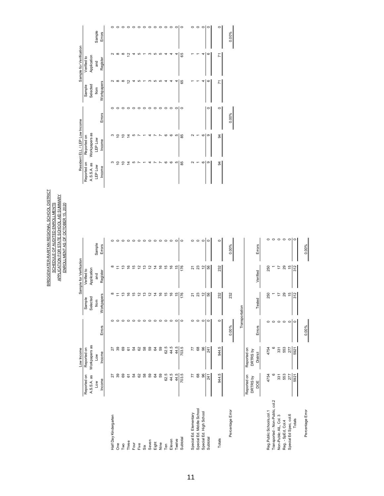<u>BRIDGEWATER-RARITAN REGIONAL SCHOOL DISTRICT</u><br>SCHEDULE OF AUDITED ENROLLMENTS<br>APPLICATION FOR STATE SCHOOL AID SUMMARY<br>ENROLLMENT AS OF OCTOBER 15.2020 BRIDGEWATER-RARITAN REGIONAL SCHOOL DISTRICT APPLICATION FOR STATE SCHOOL AID SUMMARY SCHEDULE OF AUDITED ENROLLMENTS ENROLLMENT AS OF OCTOBER 15, 2020

|                                 |                         | Low Income              |                                       |                          | Sample for Verification               |                             |                | Resident ELL / LEP Low Income |                     |                 | Sample for Verification |                 |
|---------------------------------|-------------------------|-------------------------|---------------------------------------|--------------------------|---------------------------------------|-----------------------------|----------------|-------------------------------|---------------------|-----------------|-------------------------|-----------------|
|                                 | Reported on             | Reported on             |                                       | Sample                   | Verified to                           |                             | Reported on    | Reported on                   |                     | Sample          | Verified to             |                 |
|                                 | A.S.S.A. as             | Workpapers as           |                                       | Selected                 | Application                           |                             | A.S.S.A. as    | Workpapers as                 |                     | Selected        | Application             |                 |
|                                 | Low                     | Low                     |                                       | from                     | and                                   | Sample                      | LEP Low        | LEP Low                       |                     | from            | and                     | Sample          |
|                                 | Income                  | Income                  | Errors                                | Workpapers               | Register                              | Errors                      | Income         | Income                        | Errors              | Workpapers      | Register                | Errors          |
| Half Day Kindergarten           |                         |                         |                                       | $\infty$                 | $\infty$                              |                             | ო              | ო                             |                     |                 |                         | $\circ$         |
| δe                              | ನ ೫                     | $\frac{27}{39}$         | $\circ$                               |                          |                                       | $\circ$ $\circ$             | S              | $\epsilon$                    | $\circ$ $\circ$     | $\sim$ $\infty$ | ∾ ∞                     |                 |
| Two                             | 69                      | 69                      | $\circ$                               | $\tilde{c}$              | $\frac{3}{2}$                         |                             | $\tilde{a}$    | $\epsilon$                    | $\circ$ $\circ$     | $\infty$        | $\infty$                |                 |
| Three                           | 67                      | $\overleftarrow{6}$     | $\circ$                               | $\frac{6}{2}$            | $\frac{6}{5}$                         | $\circ\circ\circ\circ\circ$ | $\sharp$       | $\sharp$                      |                     | $\tilde{ }$     | $\tilde{c}$             | 00000000000     |
| Four                            |                         |                         |                                       | 15                       | 15                                    |                             | 5              | s                             |                     |                 | 4                       |                 |
| Five                            | <b>22 S</b>             | $38883$                 | $\circ\circ\circ\circ\circ\circ\circ$ | $\overline{\mathbf{r}}$  | $\overline{2}$                        |                             |                |                               | $\circ \circ \circ$ | ю               | 5                       |                 |
| Six                             |                         |                         |                                       | $\frac{3}{2}$            | $\frac{3}{2}$                         |                             |                |                               |                     |                 |                         |                 |
| Seven                           | 59                      |                         |                                       | $\tilde{c}$              | $\frac{2}{3}$                         | $\circ\circ\circ\circ$      | 4              | 4                             | $\circ$             | S               | ო                       |                 |
| Eight                           | रु                      |                         |                                       | $\overline{4}$           | $\overline{4}$                        |                             |                | r                             | $\circ$             | ю               | Ю                       |                 |
| Nine                            | 59                      | 59                      |                                       | $\frac{6}{5}$            | $\frac{6}{5}$                         |                             | $\overline{ }$ | $\overline{ }$                | $\circ$             | Ю               | 5                       |                 |
| Ten                             | 62.5                    | 62.5                    |                                       | $\frac{1}{2}$            | $\frac{5}{2}$                         |                             | $\circ$        | $\circ$                       | $\circ$             | 4               | 4                       |                 |
| Eleven                          | 44.5                    | 44.5                    | $\circ$                               | $\frac{6}{5}$            | $\frac{6}{2}$                         | $\circ$ $\circ$             | $\circ$        | $\circ$                       | $\circ$             | 4               | 4                       | $\circ$         |
| Twelve                          | 44.5                    | 44.5                    | $\circ$                               | $\frac{6}{7}$            | $\frac{6}{1}$                         |                             | 5              | 5                             | $\circ$             | 4               | 4                       | $\circ$         |
| Subtotal                        | 703.5                   | 703.5                   | $\circ$                               | 176                      | 176                                   | $\circ$                     | 85             | 85                            | $\circ$             | 65              | 65                      | $\circ$         |
| Special Ed. Elementary          | F                       | 7                       | $\circ$                               |                          |                                       |                             | $\sim$         | $\mathbf 2$                   |                     |                 |                         |                 |
| Special Ed. Middle School       | 68                      | 8                       | $\circ$                               | 23                       | $\frac{21}{23}$                       |                             |                |                               |                     |                 |                         | $\circ$ $\circ$ |
| Special Ed. High School         | 86                      | 8                       | $\circ$                               |                          | $\overline{\mathcal{L}}$              | $\circ$ $\circ$ $\circ$     | $\circ$        | $\circ$                       |                     | 4               |                         | $\circ$         |
| Subtotal                        | $\frac{241}{3}$         | 241                     | $\circ$                               | $\frac{2}{56}$           | 56                                    |                             | თ              | თ                             | 0                   | ဖ               | ဖ                       | $\circ$         |
| Totals                          | 944.5                   | 944.5                   | $\circ$                               | 232                      | 232                                   | $\circ$                     | æ              | \$                            | $\circ$             | $\overline{r}$  | $\overline{7}$          | $\circ$         |
|                                 |                         |                         |                                       |                          |                                       |                             |                |                               |                     |                 |                         |                 |
| Percentage Error                |                         |                         | $0.00\%$                              | 232                      |                                       | $0.00\%$                    |                |                               | 0.00%               |                 |                         | $0.00\%$        |
|                                 |                         |                         |                                       | Transportation           |                                       |                             |                |                               |                     |                 |                         |                 |
|                                 | Reported on<br>DRTRS by | Reported on<br>DRTRS by |                                       |                          |                                       |                             |                |                               |                     |                 |                         |                 |
|                                 | DOE                     | District                | Errors                                | Tested                   | Verified                              | Errors                      |                |                               |                     |                 |                         |                 |
| Reg.Public Schools, col.1       | 4754                    | 4754                    | $\circ$                               | 250                      | 250                                   | $\circ$                     |                |                               |                     |                 |                         |                 |
| Transported - Non-Public, col.2 | O                       | C                       | $\circ$                               |                          |                                       | $\circ$                     |                |                               |                     |                 |                         |                 |
| Non-Public AIL, Col. 3          | 331                     | 331                     | $\circ$ $\circ$                       | $\overline{\phantom{a}}$ |                                       | $\circ$ $\circ$             |                |                               |                     |                 |                         |                 |
| Reg. - SpEd, Col.4              | 553                     | 553                     |                                       | 29                       | $\begin{array}{c} 7 \\ 2 \end{array}$ |                             |                |                               |                     |                 |                         |                 |
| Special Ed Spec, col.6          | 277                     | 277                     | $\circ$                               | $\frac{6}{5}$            | $\frac{1}{2}$                         | $\circ$                     |                |                               |                     |                 |                         |                 |
| Totals                          | 5921                    | 5921                    | 0                                     | $\frac{312}{2}$          | 312                                   | $\circ$                     |                |                               |                     |                 |                         |                 |
| Percentage Error                |                         |                         | 0.00%                                 |                          |                                       | $0.00\%$                    |                |                               |                     |                 |                         |                 |
|                                 |                         |                         |                                       |                          |                                       |                             |                |                               |                     |                 |                         |                 |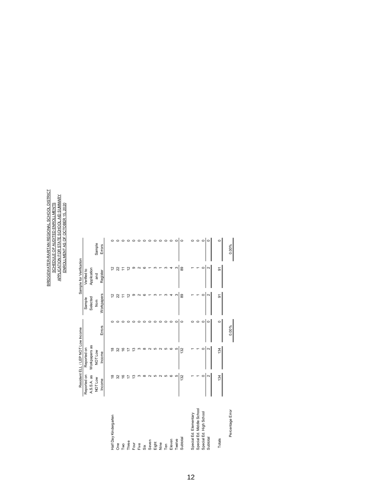# <u>BRIDGEWATER-RARITAN REGIONAL SCHOOL DISTRICT</u><br>SCHEDULE OF AUDITED ENROLLMENTS<br>APPLICATION FOR STATE SCHOOL AID SUMMARY<br>ENROLLMENT AS OF OCTOBER 15.2020 BRIDGEWATER-RARITAN REGIONAL SCHOOL DISTRICT APPLICATION FOR STATE SCHOOL AID SUMMARY SCHEDULE OF AUDITED ENROLLMENTS ENROLLMENT AS OF OCTOBER 15, 2020

|                           |                            | Resident ELL / LEP NOT Low Income |               |                    | Sample for Verification    |           |
|---------------------------|----------------------------|-----------------------------------|---------------|--------------------|----------------------------|-----------|
|                           | Reported on<br>A.S.S.A. as | Workpapers as<br>Reported on      |               | Selected<br>Sample | Application<br>Verified to |           |
|                           | NOT Low                    | NOT Low                           |               | from               | and                        | Sample    |
|                           | Income                     | Income                            | <b>Errors</b> | Workpapers         | Register                   | Errors    |
| Half Day Kindergarten     | $\frac{8}{2}$              | $\frac{8}{2}$                     |               | $\mathbf{\Omega}$  | $\tilde{c}$                |           |
| е<br>б                    | 32                         | $\mathfrak{D}$                    |               | 22                 | 22                         |           |
| Īмо                       | ڥ                          | $\overline{6}$                    |               |                    | Ξ                          |           |
| Three                     |                            | ⊵                                 |               | $\mathbf{\Omega}$  | $\tilde{c}$                |           |
| Four                      | ∞                          | Ω                                 |               |                    | ග                          |           |
| Five                      |                            | ω                                 |               |                    |                            |           |
| Six                       |                            | œ                                 |               | c                  | c                          |           |
| Seven                     |                            |                                   |               |                    |                            |           |
| Eight                     | LO                         | 5                                 | 0             |                    |                            | 0         |
| Nine                      | $\sim$                     | √                                 | 0             |                    |                            | 0         |
| Ten                       | 5                          | 5                                 | $\circ$       | က                  | ω                          | 0         |
| Eleven                    | $\circ$                    | $\circ$                           | 0             |                    | 4                          | $\circ$   |
| Twelve                    | 5                          | 5                                 | c             | S                  | S                          | $\circ$   |
| Subtotal                  | 132                        | 132                               | $\circ$       | 89                 | 89                         | $\circ$   |
| Special Ed. Elementary    |                            |                                   | 0             |                    |                            | 0         |
| Special Ed. Middle School |                            |                                   | 0             |                    |                            | $\circ$   |
| Special Ed. High School   | 0                          | 0                                 | $\circ$       | $\circ$            | $\circ$                    | $\circ$   |
| Subtotal                  | ¢                          | ¢                                 | 0             | $\sim$             | ¢                          | $\circ$   |
| Totals                    | 134                        | 134                               | $\circ$       | 5                  | 5                          | $\circ$   |
| Percentage Error          |                            |                                   | $0.00\%$      |                    |                            | $-0.00\%$ |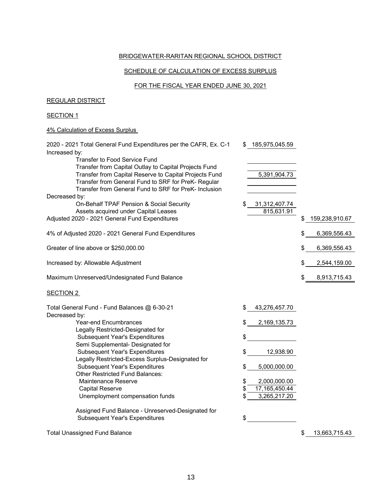#### BRIDGEWATER-RARITAN REGIONAL SCHOOL DISTRICT

#### SCHEDULE OF CALCULATION OF EXCESS SURPLUS

#### FOR THE FISCAL YEAR ENDED JUNE 30, 2021

#### REGULAR DISTRICT

#### SECTION<sub>1</sub>

#### 4% Calculation of Excess Surplus

| 2020 - 2021 Total General Fund Expenditures per the CAFR, Ex. C-1 | \$. | 185,975,045.59 |    |                |
|-------------------------------------------------------------------|-----|----------------|----|----------------|
| Increased by:                                                     |     |                |    |                |
| Transfer to Food Service Fund                                     |     |                |    |                |
| Transfer from Capital Outlay to Capital Projects Fund             |     |                |    |                |
| Transfer from Capital Reserve to Capital Projects Fund            |     | 5,391,904.73   |    |                |
| Transfer from General Fund to SRF for PreK- Regular               |     |                |    |                |
| Transfer from General Fund to SRF for PreK- Inclusion             |     |                |    |                |
| Decreased by:                                                     |     |                |    |                |
| On-Behalf TPAF Pension & Social Security                          | S   | 31,312,407.74  |    |                |
| Assets acquired under Capital Leases                              |     | 815,631.91     |    |                |
| Adjusted 2020 - 2021 General Fund Expenditures                    |     |                | S  | 159,238,910.67 |
| 4% of Adjusted 2020 - 2021 General Fund Expenditures              |     |                | \$ | 6,369,556.43   |
| Greater of line above or \$250,000.00                             |     |                | \$ | 6,369,556.43   |
| Increased by: Allowable Adjustment                                |     |                | \$ | 2,544,159.00   |
| Maximum Unreserved/Undesignated Fund Balance                      |     |                | \$ | 8,913,715.43   |
|                                                                   |     |                |    |                |

#### SECTION<sub>2</sub>

| Total General Fund - Fund Balances @ 6-30-21      | \$<br>43,276,457.70 |
|---------------------------------------------------|---------------------|
| Decreased by:                                     |                     |
| <b>Year-end Encumbrances</b>                      | \$<br>2,169,135.73  |
| Legally Restricted-Designated for                 |                     |
| <b>Subsequent Year's Expenditures</b>             | \$                  |
| Semi Supplemental- Designated for                 |                     |
| <b>Subsequent Year's Expenditures</b>             | \$<br>12,938.90     |
| Legally Restricted-Excess Surplus-Designated for  |                     |
| <b>Subsequent Year's Expenditures</b>             | \$<br>5,000,000.00  |
| <b>Other Restricted Fund Balances:</b>            |                     |
| Maintenance Reserve                               | \$<br>2,000,000.00  |
| <b>Capital Reserve</b>                            | \$<br>17,165,450.44 |
| Unemployment compensation funds                   | \$<br>3,265,217.20  |
| Assigned Fund Balance - Unreserved-Designated for |                     |
| <b>Subsequent Year's Expenditures</b>             | \$                  |
|                                                   |                     |
| <b>Total Unassigned Fund Balance</b>              | 13,663,715.43<br>\$ |
|                                                   |                     |